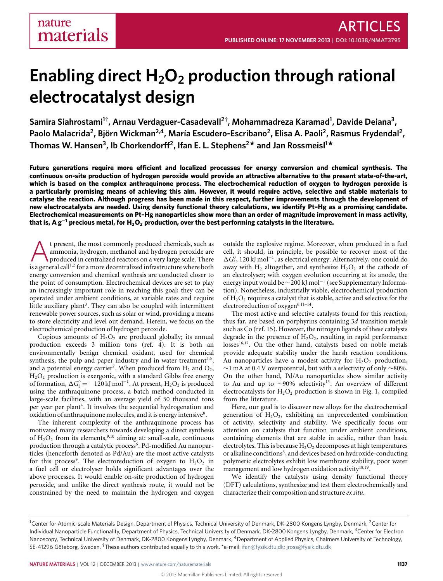# **Enabling direct H2O<sup>2</sup> production through rational electrocatalyst design**

**Samira Siahrostami<sup>1</sup>† , Arnau Verdaguer-Casadevall<sup>2</sup>† , Mohammadreza Karamad<sup>1</sup> , Davide Deiana<sup>3</sup> , Paolo Malacrida<sup>2</sup> , Björn Wickman2,4, María Escudero-Escribano<sup>2</sup> , Elisa A. Paoli<sup>2</sup> , Rasmus Frydendal<sup>2</sup> , Thomas W. Hansen<sup>3</sup> , Ib Chorkendorff<sup>2</sup> , Ifan E. L. Stephens<sup>2</sup> \* and Jan Rossmeisl<sup>1</sup> \***

**Future generations require more efficient and localized processes for energy conversion and chemical synthesis. The continuous on-site production of hydrogen peroxide would provide an attractive alternative to the present state-of-the-art, which is based on the complex anthraquinone process. The electrochemical reduction of oxygen to hydrogen peroxide is a particularly promising means of achieving this aim. However, it would require active, selective and stable materials to catalyse the reaction. Although progress has been made in this respect, further improvements through the development of new electrocatalysts are needed. Using density functional theory calculations, we identify Pt–Hg as a promising candidate. Electrochemical measurements on Pt–Hg nanoparticles show more than an order of magnitude improvement in mass activity, that is, A g**<sup>−</sup>**<sup>1</sup> precious metal, for H2O<sup>2</sup> production, over the best performing catalysts in the literature.**

t present, the most commonly produced chemicals, such as ammonia, hydrogen, methanol and hydrogen peroxide are produced in centralized reactors on a very large scale. There is a general call<sup>[1](#page-5-0)[,2](#page-5-1)</sup> for a more decentralized i t present, the most commonly produced chemicals, such as ammonia, hydrogen, methanol and hydrogen peroxide are produced in centralized reactors on a very large scale. There energy conversion and chemical synthesis are conducted closer to the point of consumption. Electrochemical devices are set to play an increasingly important role in reaching this goal; they can be operated under ambient conditions, at variable rates and require little auxiliary plant $^3$  $^3$ . They can also be coupled with intermittent renewable power sources, such as solar or wind, providing a means to store electricity and level out demand. Herein, we focus on the electrochemical production of hydrogen peroxide.

Copious amounts of  $H_2O_2$  are produced globally; its annual production exceeds 3 million tons (ref. [4\)](#page-5-3). It is both an environmentally benign chemical oxidant, used for chemical synthesis, the pulp and paper industry and in water treatment<sup>[5](#page-5-4)[,6](#page-5-5)</sup>, and a potential energy carrier<sup>[7](#page-5-6)</sup>. When produced from  $\text{H}_{2}$  and  $\text{O}_{2}$ , H2O<sup>2</sup> production is exergonic, with a standard Gibbs free energy of formation,  $\Delta G_f^0 = -120 \text{ kJ} \text{ mol}^{-1}$ . At present,  $\text{H}_2\text{O}_2$  is produced using the anthraquinone process, a batch method conducted in large-scale facilities, with an average yield of 50 thousand tons per year per plant<sup>[4](#page-5-3)</sup>. It involves the sequential hydrogenation and oxidation of anthraquinone molecules, and it is energy intensive[8](#page-5-7).

The inherent complexity of the anthraquinone process has motivated many researchers towards developing a direct synthesis of  $H_2O_2$  from its elements,<sup>[9](#page-5-8)[,10](#page-5-9)</sup> aiming at: small-scale, continuous production through a catalytic process<sup>[6](#page-5-5)</sup>. Pd-modified Au nanoparticles (henceforth denoted as Pd/Au) are the most active catalysts for this process<sup>[9](#page-5-8)</sup>. The electroreduction of oxygen to  $H_2O_2$  in a fuel cell or electrolyser holds significant advantages over the above processes. It would enable on-site production of hydrogen peroxide, and unlike the direct synthesis route, it would not be constrained by the need to maintain the hydrogen and oxygen

outside the explosive regime. Moreover, when produced in a fuel cell, it should, in principle, be possible to recover most of the ∆G<sup>0</sup>, 120 kJ mol<sup>-1</sup>, as electrical energy. Alternatively, one could do away with H<sub>2</sub> altogether, and synthesize H<sub>2</sub>O<sub>2</sub> at the cathode of an electrolyser; with oxygen evolution occurring at its anode, the energy input would be  $\sim$ 200 kJ mol<sup>-1</sup> (see Supplementary Information). Nonetheless, industrially viable, electrochemical production of  $H_2O_2$  requires a catalyst that is stable, active and selective for the electroreduction of oxygen $6,11-14$  $6,11-14$  $6,11-14$ .

The most active and selective catalysts found for this reaction, thus far, are based on porphyrins containing 3*d* transition metals such as Co (ref. [15\)](#page-5-12). However, the nitrogen ligands of these catalysts degrade in the presence of  $H_2O_2$ , resulting in rapid performance losses<sup>[16](#page-5-13)[,17](#page-5-14)</sup>. On the other hand, catalysts based on noble metals provide adequate stability under the harsh reaction conditions. Au nanoparticles have a modest activity for  $H_2O_2$  production, ∼1 mA at 0.4 V overpotential, but with a selectivity of only ∼80%. On the other hand, Pd/Au nanoparticles show similar activity to Au and up to ∼90% selectivity[13](#page-5-15). An overview of different electrocatalysts for  $H_2O_2$  production is shown in [Fig.](#page-1-0) [1,](#page-1-0) compiled from the literature.

Here, our goal is to discover new alloys for the electrochemical generation of  $H_2O_2$ , exhibiting an unprecedented combination of activity, selectivity and stability. We specifically focus our attention on catalysts that function under ambient conditions, containing elements that are stable in acidic, rather than basic electrolytes. This is because  $H_2O_2$  decomposes at high temperatures or alkaline conditions<sup>[6](#page-5-5)</sup>, and devices based on hydroxide-conducting polymeric electrolytes exhibit low membrane stability, poor water management and low hydrogen oxidation activity<sup>[18](#page-5-16)[,19](#page-5-17)</sup>.

We identify the catalysts using density functional theory (DFT) calculations, synthesize and test them electrochemically and characterize their composition and structure *ex situ*.

<sup>&</sup>lt;sup>1</sup>Center for Atomic-scale Materials Design, Department of Physics, Technical University of Denmark, DK-2800 Kongens Lyngby, Denmark, <sup>2</sup>Center for Individual Nanoparticle Functionality, Department of Physics, Technical University of Denmark, DK-2800 Kongens Lyngby, Denmark, <sup>3</sup>Center for Electron Nanoscopy, Technical University of Denmark, DK-2800 Kongens Lyngby, Denmark, <sup>4</sup>Department of Applied Physics, Chalmers University of Technology, SE-41296 Göteborg, Sweden. †These authors contributed equally to this work. \*e-mail: [ifan@fysik.dtu.dk;](mailto:ifan@fysik.dtu.dk) [jross@fysik.dtu.dk](mailto:jross@fysik.dtu.dk)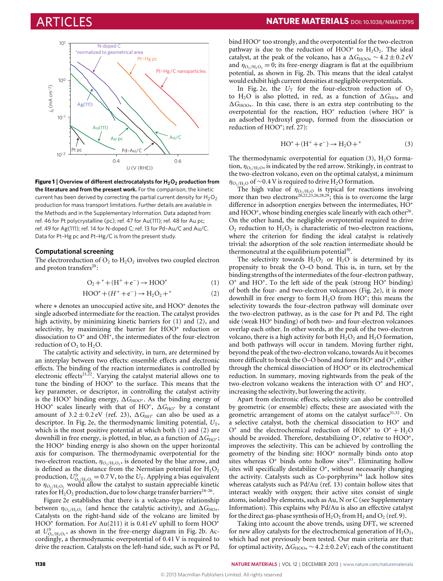

<span id="page-1-0"></span>**Figure 1** | **Overview of different electrocatalysts for H2O<sup>2</sup> production from the literature and from the present work.** For the comparison, the kinetic current has been derived by correcting the partial current density for  $H_2O_2$ production for mass transport limitations. Further details are available in the Methods and in the Supplementary Information. Data adapted from: ref. [46](#page-6-0) for Pt polycrystalline (pc); ref. [47](#page-6-1) for Au(111); ref. [48](#page-6-2) for Au pc; ref. [49](#page-6-3) for Ag(111); ref. [14](#page-5-11) for N-doped C; ref. [13](#page-5-15) for Pd–Au/C and Au/C. Data for Pt–Hg pc and Pt–Hg/C is from the present study.

### **Computational screening**

<span id="page-1-1"></span>The electroreduction of  $O_2$  to  $H_2O_2$  involves two coupled electron and proton transfers<sup>[20](#page-5-18)</sup>:

$$
O_2 +^* + (H^+ + e^-) \to HOO^*
$$
 (1)

$$
HOO^* + (H^+ + e^-) \to H_2O_2 +^*
$$
 (2)

<span id="page-1-2"></span>where ∗ denotes an unoccupied active site, and HOO<sup>∗</sup> denotes the single adsorbed intermediate for the reaction. The catalyst provides high activity, by minimizing kinetic barriers for [\(1\)](#page-1-1) and [\(2\)](#page-1-2), and selectivity, by maximizing the barrier for HOO<sup>∗</sup> reduction or dissociation to O<sup>∗</sup> and OH<sup>∗</sup> , the intermediates of the four-electron reduction of  $O_2$  to  $H_2O$ .

The catalytic activity and selectivity, in turn, are determined by an interplay between two effects: ensemble effects and electronic effects. The binding of the reaction intermediates is controlled by electronic effects<sup>[21](#page-5-19)[,22](#page-5-20)</sup>. Varying the catalyst material allows one to tune the binding of HOO<sup>∗</sup> to the surface. This means that the key parameter, or descriptor, in controlling the catalyst activity is the HOO<sup>∗</sup> binding energy,  $\Delta G_{\text{HOO}^*}$ . As the binding energy of HOO<sup>∗</sup> scales linearly with that of HO<sup>∗</sup>,  $\Delta G_{\rm HO}$ <sup>\*</sup> by a constant amount of  $3.2 \pm 0.2$  eV (ref. [23\)](#page-5-21),  $\Delta G_{\text{HO}^*}$  can also be used as a descriptor. In [Fig.](#page-2-0) [2e](#page-2-0), the thermodynamic limiting potential,  $U_T$ , which is the most positive potential at which both [\(1\)](#page-1-1) and [\(2\)](#page-1-2) are downhill in free energy, is plotted, in blue, as a function of  $\Delta G_{\text{HO}^*}$ ; the HOO<sup>∗</sup> binding energy is also shown on the upper horizontal axis for comparison. The thermodynamic overpotential for the two-electron reaction,  $\eta_{\text{O}_2/\text{H}_2\text{O}_2}$ , is denoted by the blue arrow, and is defined as the distance from the Nernstian potential for  $H_2O_2$ production,  $U^0_{O_2/H_2O_2}$  = 0.7 V, to the  $U_T$ . Applying a bias equivalent to  $\eta_{\text{O}_2/H_2\text{O}_2}$  would allow the catalyst to sustain appreciable kinetic rates for  $\text{H}_{2}\text{O}_{2}$  production, due to low charge transfer barriers<sup>[24–](#page-5-22)[26](#page-5-23)</sup>.

[Figure](#page-2-0) [2e](#page-2-0) establishes that there is a volcano-type relationship between  $\eta_{O_2/H_2O_2}$  (and hence the catalytic activity), and  $\Delta G_{\text{HO}*}$ . Catalysts on the right-hand side of the volcano are limited by HOO<sup>\*</sup> formation. For Au(211) it is 0.41 eV uphill to form HOO<sup>\*</sup> at  $U^0_{O_2/H_2O_2}$ , as shown in the free-energy diagram in [Fig.](#page-2-0) [2b](#page-2-0). Accordingly, a thermodynamic overpotential of 0.41 V is required to drive the reaction. Catalysts on the left-hand side, such as Pt or Pd,

bind HOO<sup>∗</sup> too strongly, and the overpotential for the two-electron pathway is due to the reduction of  $HOO^*$  to  $H_2O_2$ . The ideal catalyst, at the peak of the volcano, has a  $\Delta G_{\text{HOO}*} \sim 4.2 \pm 0.2 \text{ eV}$ and  $\eta_{\text{O}_2/H_2O_2} = 0$ ; its free-energy diagram is flat at the equilibrium potential, as shown in [Fig.](#page-2-0) [2b](#page-2-0). This means that the ideal catalyst would exhibit high current densities at negligible overpotentials.

In [Fig.](#page-2-0) [2e](#page-2-0), the  $U_T$  for the four-electron reduction of  $O_2$ to H<sub>2</sub>O is also plotted, in red, as a function of  $\Delta G_{\text{HO}*}$  and 1*G*HOO<sup>∗</sup>. In this case, there is an extra step contributing to the overpotential for the reaction, HO<sup>∗</sup> reduction (where HO<sup>∗</sup> is an adsorbed hydroxyl group, formed from the dissociation or reduction of HOO<sup>∗</sup> ; ref. [27\)](#page-5-24):

$$
HO^* + (H^+ + e^-) \to H_2O +^*
$$
 (3)

<span id="page-1-3"></span>The thermodynamic overpotential for equation [\(3\)](#page-1-3),  $H_2O$  formation,  $\eta_{\text{O}_2/H_2O}$ , is indicated by the red arrow. Strikingly, in contrast to the two-electron volcano, even on the optimal catalyst, a minimum  $\eta_{\text{O}_2/H_2O}$  of ~0.4 V is required to drive H<sub>2</sub>O formation.

The high value of  $\eta_{\text{O}_2/H_2\text{O}}$  is typical for reactions involving more than two electrons<sup>[20,](#page-5-18)[22](#page-5-20)[,23,](#page-5-21)[26](#page-5-23)[,28,](#page-6-4)[29](#page-6-5)</sup>; this is to overcome the large difference in adsorption energies between the intermediates, HO<sup>∗</sup> and HOO\*, whose binding energies scale linearly with each other<sup>[26](#page-5-23)</sup>. On the other hand, the negligible overpotential required to drive  $O<sub>2</sub>$  reduction to  $H<sub>2</sub>O<sub>2</sub>$  is characteristic of two-electron reactions, where the criterion for finding the ideal catalyst is relatively trivial: the adsorption of the sole reaction intermediate should be thermoneutral at the equilibrium potential<sup>[30](#page-6-6)</sup>.

The selectivity towards  $H_2O_2$  or  $H_2O$  is determined by its propensity to break the O–O bond. This is, in turn, set by the binding strengths of the intermediates of the four-electron pathway, O∗ and HO<sup>∗</sup> . To the left side of the peak (strong HO<sup>∗</sup> binding) of both the four- and two-electron volcanoes [\(Fig.](#page-2-0) [2e](#page-2-0)), it is more downhill in free energy to form H2O from HO<sup>∗</sup> ; this means the selectivity towards the four-electron pathway will dominate over the two-electron pathway, as is the case for Pt and Pd. The right side (weak HO<sup>∗</sup> binding) of both two- and four-electron volcanoes overlap each other. In other words, at the peak of the two-electron volcano, there is a high activity for both  $H_2O_2$  and  $H_2O$  formation, and both pathways will occur in tandem. Moving further right, beyond the peak of the two-electron volcano, towards Au it becomes more difficult to break the O–O bond and form HO<sup>∗</sup> and O<sup>∗</sup> , either through the chemical dissociation of HOO<sup>∗</sup> or its electrochemical reduction. In summary, moving rightwards from the peak of the two-electron volcano weakens the interaction with O<sup>∗</sup> and HO<sup>∗</sup>, increasing the selectivity, but lowering the activity.

Apart from electronic effects, selectivity can also be controlled by geometric (or ensemble) effects; these are associated with the geometric arrangement of atoms on the catalyst surface  $31,32$  $31,32$ . On a selective catalyst, both the chemical dissociation to HO<sup>∗</sup> and O∗ and the electrochemical reduction of HOO<sup>∗</sup> to O<sup>∗</sup> + H2O should be avoided. Therefore, destabilizing O\*, relative to HOO\*, improves the selectivity. This can be achieved by controlling the geometry of the binding site: HOO<sup>∗</sup> normally binds onto atop sites whereas  $O^*$  binds onto hollow sites<sup>[33](#page-6-9)</sup>. Eliminating hollow sites will specifically destabilize O<sup>∗</sup> , without necessarily changing the activity. Catalysts such as Co-porphyrins<sup>[34](#page-6-10)</sup> lack hollow sites whereas catalysts such as Pd/Au (ref. [13\)](#page-5-15) contain hollow sites that interact weakly with oxygen; their active sites consist of single atoms, isolated by elements, such as Au, N or C (see Supplementary Information). This explains why Pd/Au is also an effective catalyst for the direct gas-phase synthesis of  $H_2O_2$  from  $H_2$  and  $O_2$  (ref. [9\)](#page-5-8).

Taking into account the above trends, using DFT, we screened for new alloy catalysts for the electrochemical generation of  $H_2O_2$ , which had not previously been tested. Our main criteria are that: for optimal activity, 1*G*HOO<sup>∗</sup> ∼4.2±0.2 eV; each of the constituent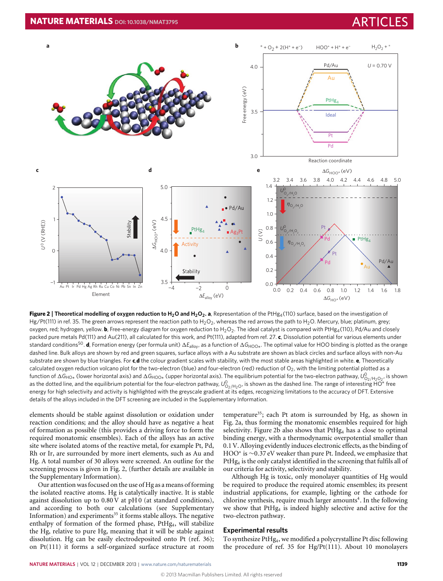

<span id="page-2-0"></span>**Figure 2** | **Theoretical modelling of oxygen reduction to H2O and H2O2. a**, Representation of the PtHg4(110) surface, based on the investigation of Hg/Pt(111) in ref. [35.](#page-6-11) The green arrows represent the reaction path to H<sub>2</sub>O<sub>2</sub>, whereas the red arrows the path to H<sub>2</sub>O. Mercury, blue; platinum, grey; oxygen, red; hydrogen, yellow. **b**, Free-energy diagram for oxygen reduction to H<sub>2</sub>O<sub>2</sub>. The ideal catalyst is compared with PtHg<sub>4</sub>(110), Pd/Au and closely packed pure metals Pd(111) and Au(211), all calculated for this work, and Pt(111), adapted from ref. [27.](#page-5-24) **c**, Dissolution potential for various elements under standard conditions<sup>[50](#page-6-12)</sup>. **d**, Formation energy (per formula unit) ∆E<sub>alloy</sub>, as a function of ∆G<sub>HOO∗</sub>. The optimal value for HOO binding is plotted as the orange dashed line. Bulk alloys are shown by red and green squares, surface alloys with a Au substrate are shown as black circles and surface alloys with non-Au substrate are shown by blue triangles. For **c**,**d** the colour gradient scales with stability, with the most stable areas highlighted in white. **e**, Theoretically calculated oxygen reduction volcano plot for the two-electron (blue) and four-electron (red) reduction of  $O_2$ , with the limiting potential plotted as a function of ΔG<sub>HO∗</sub> (lower horizontal axis) and ΔG<sub>HOO∗</sub> (upper horizontal axis). The equilibrium potential for the two-electron pathway, U<sub>O<sub>2/H2</sub>O<sub>2</sub>, is shown</sub> as the dotted line, and the equilibrium potential for the four-electron pathway,  $U^0_{O_2/H_2O}$ , is shown as the dashed line. The range of interesting HO<sup>\*</sup> free energy for high selectivity and activity is highlighted with the greyscale gradient at its edges, recognizing limitations to the accuracy of DFT. Extensive details of the alloys included in the DFT screening are included in the Supplementary Information.

elements should be stable against dissolution or oxidation under reaction conditions; and the alloy should have as negative a heat of formation as possible (this provides a driving force to form the required monatomic ensembles). Each of the alloys has an active site where isolated atoms of the reactive metal, for example Pt, Pd, Rh or Ir, are surrounded by more inert elements, such as Au and Hg. A total number of 30 alloys were screened. An outline for the screening process is given in [Fig.](#page-2-0) [2,](#page-2-0) (further details are available in the Supplementary Information).

Our attention was focused on the use of Hg as a means of forming the isolated reactive atoms. Hg is catalytically inactive. It is stable against dissolution up to 0.80 V at pH 0 (at standard conditions), and according to both our calculations (see Supplementary Information) and experiments<sup>[35](#page-6-11)</sup> it forms stable alloys. The negative enthalpy of formation of the formed phase, PtHg<sub>4</sub>, will stabilize the Hg, relative to pure Hg, meaning that it will be stable against dissolution. Hg can be easily electrodeposited onto Pt (ref. [36\)](#page-6-13); on Pt(111) it forms a self-organized surface structure at room temperature<sup>[35](#page-6-11)</sup>; each Pt atom is surrounded by Hg, as shown in [Fig.](#page-2-0) [2a](#page-2-0), thus forming the monatomic ensembles required for high selectivity. [Figure](#page-2-0) [2b](#page-2-0) also shows that PtHg<sub>4</sub> has a close to optimal binding energy, with a thermodynamic overpotential smaller than 0.1 V. Alloying evidently induces electronic effects, as the binding of HOO<sup>∗</sup> is ∼0.37 eV weaker than pure Pt. Indeed, we emphasize that PtHg<sub>4</sub> is the only catalyst identified in the screening that fulfils all of our criteria for activity, selectivity and stability.

Although Hg is toxic, only monolayer quantities of Hg would be required to produce the required atomic ensembles; its present industrial applications, for example, lighting or the cathode for chlorine synthesis, require much larger amounts<sup>[4](#page-5-3)</sup>. In the following we show that PtHg<sup>4</sup> is indeed highly selective and active for the two-electron pathway.

### **Experimental results**

To synthesize PtHg4, we modified a polycrystalline Pt disc following the procedure of ref. [35](#page-6-11) for Hg/Pt(111). About 10 monolayers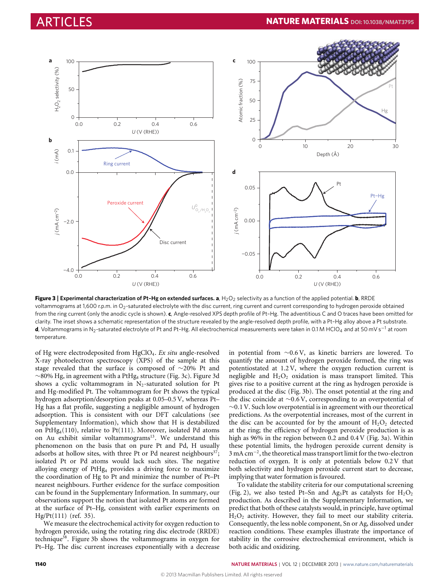

<span id="page-3-0"></span>Figure 3 | Experimental characterization of Pt-Hg on extended surfaces. a, H<sub>2</sub>O<sub>2</sub> selectivity as a function of the applied potential. **b**, RRDE voltammograms at 1,600 r.p.m. in O<sub>2</sub>-saturated electrolyte with the disc current, ring current and current corresponding to hydrogen peroxide obtained from the ring current (only the anodic cycle is shown). **c**, Angle-resolved XPS depth profile of Pt–Hg. The adventitious C and O traces have been omitted for clarity. The inset shows a schematic representation of the structure revealed by the angle-resolved depth profile, with a Pt–Hg alloy above a Pt substrate. **d**, Voltammograms in N<sub>2</sub>-saturated electrolyte of Pt and Pt–Hg. All electrochemical measurements were taken in 0.1 M HClO<sub>4</sub> and at 50 mV s<sup>-1</sup> at room temperature.

of Hg were electrodeposited from HgClO4. *Ex situ* angle-resolved X-ray photoelectron spectroscopy (XPS) of the sample at this stage revealed that the surface is composed of ∼20% Pt and ∼80% Hg, in agreement with a PtHg<sup>4</sup> structure [\(Fig.](#page-3-0) [3c](#page-3-0)). [Figure](#page-3-0) [3d](#page-3-0) shows a cyclic voltammogram in  $N_2$ -saturated solution for Pt and Hg-modified Pt. The voltammogram for Pt shows the typical hydrogen adsorption/desorption peaks at 0.05–0.5 V, whereas Pt– Hg has a flat profile, suggesting a negligible amount of hydrogen adsorption. This is consistent with our DFT calculations (see Supplementary Information), which show that H is destabilized on PtHg4(110), relative to Pt(111). Moreover, isolated Pd atoms on Au exhibit similar voltammograms<sup>[13](#page-5-15)</sup>. We understand this phenomenon on the basis that on pure Pt and Pd, H usually adsorbs at hollow sites, with three Pt or Pd nearest neighbours<sup>[37](#page-6-14)</sup>; isolated Pt or Pd atoms would lack such sites. The negative alloying energy of PtHg<sup>4</sup> provides a driving force to maximize the coordination of Hg to Pt and minimize the number of Pt–Pt nearest neighbours. Further evidence for the surface composition can be found in the Supplementary Information. In summary, our observations support the notion that isolated Pt atoms are formed at the surface of Pt–Hg, consistent with earlier experiments on Hg/Pt(111) (ref. [35\)](#page-6-11).

We measure the electrochemical activity for oxygen reduction to hydrogen peroxide, using the rotating ring disc electrode (RRDE) technique<sup>[38](#page-6-15)</sup>. [Figure](#page-3-0) [3b](#page-3-0) shows the voltammograms in oxygen for Pt–Hg. The disc current increases exponentially with a decrease in potential from ∼0.6 V, as kinetic barriers are lowered. To quantify the amount of hydrogen peroxide formed, the ring was potentiostated at 1.2 V, where the oxygen reduction current is negligible and  $H_2O_2$  oxidation is mass transport limited. This gives rise to a positive current at the ring as hydrogen peroxide is produced at the disc [\(Fig.](#page-3-0) [3b](#page-3-0)). The onset potential at the ring and the disc coincide at ∼0.6 V, corresponding to an overpotential of  $\sim$ 0.1 V. Such low overpotential is in agreement with our theoretical predictions. As the overpotential increases, most of the current in the disc can be accounted for by the amount of  $H_2O_2$  detected at the ring; the efficiency of hydrogen peroxide production is as high as 96% in the region between 0.2 and 0.4 V [\(Fig.](#page-3-0) [3a](#page-3-0)). Within these potential limits, the hydrogen peroxide current density is 3 mA cm<sup>−</sup><sup>2</sup> , the theoretical mass transport limit for the two-electron reduction of oxygen. It is only at potentials below 0.2 V that both selectivity and hydrogen peroxide current start to decrease, implying that water formation is favoured.

To validate the stability criteria for our computational screening [\(Fig.](#page-2-0) [2\)](#page-2-0), we also tested Pt–Sn and Ag<sub>3</sub>Pt as catalysts for  $H_2O_2$ production. As described in the Supplementary Information, we predict that both of these catalysts would, in principle, have optimal H2O<sup>2</sup> activity. However, they fail to meet our stability criteria. Consequently, the less noble component, Sn or Ag, dissolved under reaction conditions. These examples illustrate the importance of stability in the corrosive electrochemical environment, which is both acidic and oxidizing.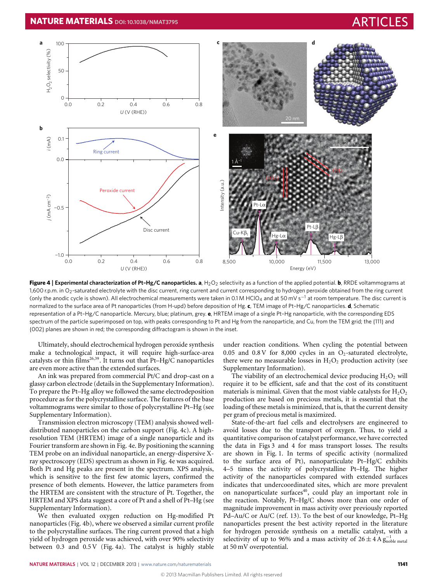

<span id="page-4-0"></span>**Figure 4** | Experimental characterization of Pt-Hg/C nanoparticles. a, H<sub>2</sub>O<sub>2</sub> selectivity as a function of the applied potential. **b**, RRDE voltammograms at 1,600 r.p.m. in O<sub>2</sub>-saturated electrolyte with the disc current, ring current and current corresponding to hydrogen peroxide obtained from the ring current (only the anodic cycle is shown). All electrochemical measurements were taken in 0.1 M HClO<sub>4</sub> and at 50 mV s<sup>-1</sup> at room temperature. The disc current is normalized to the surface area of Pt nanoparticles (from H-upd) before deposition of Hg. **c**, TEM image of Pt–Hg/C nanoparticles. **d**, Schematic representation of a Pt–Hg/C nanoparticle. Mercury, blue; platinum, grey. **e**, HRTEM image of a single Pt–Hg nanoparticle, with the corresponding EDS spectrum of the particle superimposed on top, with peaks corresponding to Pt and Hg from the nanoparticle, and Cu, from the TEM grid; the {111} and {002} planes are shown in red; the corresponding diffractogram is shown in the inset.

Ultimately, should electrochemical hydrogen peroxide synthesis make a technological impact, it will require high-surface-area catalysts or thin films<sup>[26](#page-5-23)[,39](#page-6-16)</sup>. It turns out that Pt-Hg/C nanoparticles are even more active than the extended surfaces.

An ink was prepared from commercial Pt/C and drop-cast on a glassy carbon electrode (details in the Supplementary Information). To prepare the Pt–Hg alloy we followed the same electrodeposition procedure as for the polycrystalline surface. The features of the base voltammograms were similar to those of polycrystalline Pt–Hg (see Supplementary Information).

Transmission electron microscopy (TEM) analysis showed welldistributed nanoparticles on the carbon support [\(Fig.](#page-4-0) [4c](#page-4-0)). A highresolution TEM (HRTEM) image of a single nanoparticle and its Fourier transform are shown in [Fig.](#page-4-0) [4e](#page-4-0). By positioning the scanning TEM probe on an individual nanoparticle, an energy-dispersive Xray spectroscopy (EDS) spectrum as shown in [Fig.](#page-4-0) [4e](#page-4-0) was acquired. Both Pt and Hg peaks are present in the spectrum. XPS analysis, which is sensitive to the first few atomic layers, confirmed the presence of both elements. However, the lattice parameters from the HRTEM are consistent with the structure of Pt. Together, the HRTEM and XPS data suggest a core of Pt and a shell of Pt–Hg (see Supplementary Information).

We then evaluated oxygen reduction on Hg-modified Pt nanoparticles [\(Fig.](#page-4-0) [4b](#page-4-0)), where we observed a similar current profile to the polycrystalline surfaces. The ring current proved that a high yield of hydrogen peroxide was achieved, with over 90% selectivity between 0.3 and 0.5 V [\(Fig.](#page-4-0) [4a](#page-4-0)). The catalyst is highly stable under reaction conditions. When cycling the potential between 0.05 and 0.8 V for 8,000 cycles in an  $O<sub>2</sub>$ -saturated electrolyte, there were no measurable losses in  $H_2O_2$  production activity (see Supplementary Information).

The viability of an electrochemical device producing  $H_2O_2$  will require it to be efficient, safe and that the cost of its constituent materials is minimal. Given that the most viable catalysts for  $H_2O_2$ production are based on precious metals, it is essential that the loading of these metals is minimized, that is, that the current density per gram of precious metal is maximized.

State-of-the-art fuel cells and electrolysers are engineered to avoid losses due to the transport of oxygen. Thus, to yield a quantitative comparison of catalyst performance, we have corrected the data in [Figs](#page-3-0) [3](#page-3-0) and [4](#page-4-0) for mass transport losses. The results are shown in [Fig.](#page-1-0) [1.](#page-1-0) In terms of specific activity (normalized to the surface area of Pt), nanoparticulate Pt–Hg/C exhibits 4–5 times the activity of polycrystalline Pt–Hg. The higher activity of the nanoparticles compared with extended surfaces indicates that undercoordinated sites, which are more prevalent on nanoparticulate surfaces<sup>[40](#page-6-17)</sup>, could play an important role in the reaction. Notably, Pt–Hg/C shows more than one order of magnitude improvement in mass activity over previously reported Pd–Au/C or Au/C (ref. [13\)](#page-5-15). To the best of our knowledge, Pt–Hg nanoparticles present the best activity reported in the literature for hydrogen peroxide synthesis on a metallic catalyst, with a selectivity of up to 96% and a mass activity of  $26 \pm 4$  A  $g_{\text{noble metal}}^{-1}$ at 50 mV overpotential.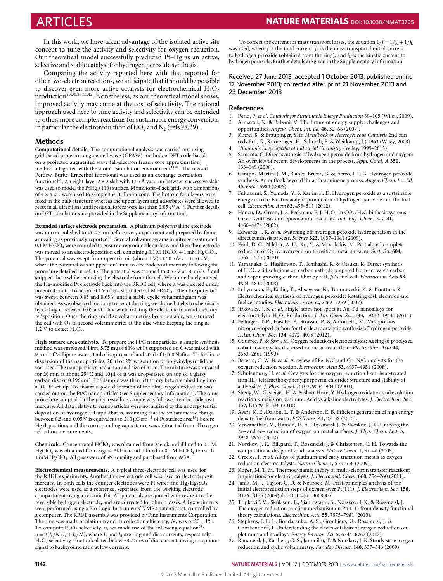In this work, we have taken advantage of the isolated active site concept to tune the activity and selectivity for oxygen reduction. Our theoretical model successfully predicted Pt–Hg as an active, selective and stable catalyst for hydrogen peroxide synthesis.

Comparing the activity reported here with that reported for other two-electron reactions, we anticipate that it should be possible to discover even more active catalysts for electrochemical  $H_2O_2$ production<sup>[23,](#page-5-21)[30](#page-6-6)[,37,](#page-6-14)[41](#page-6-18)[,42](#page-6-19)</sup>. Nonetheless, as our theoretical model shows, improved activity may come at the cost of selectivity. The rational approach used here to tune activity and selectivity can be extended to other, more complex reactions for sustainable energy conversion, in particular the electroreduction of  $CO<sub>2</sub>$  and N<sub>2</sub> (refs [28,](#page-6-4)[29\)](#page-6-5).

### **Methods**

**Computational details.** The computational analysis was carried out using grid-based projector-augmented wave (GPAW) method, a DFT code based on a projected augmented wave (all-electron frozen core approximation) method integrated with the atomic simulation environment[43](#page-6-20)[,44](#page-6-21). The revised Perdew–Burke–Ernzerhof functional was used as an exchange correlation functional<sup>[45](#page-6-22)</sup>. An eight-layer  $2 \times 2$  slab with 17.5 Å vacuum between successive slabs was used to model the  $PtHg<sub>4</sub>(110)$  surface. Monkhorst–Pack grids with dimensions of  $4 \times 4 \times 1$  were used to sample the Brillouin zone. The bottom four layers were fixed in the bulk structure whereas the upper layers and adsorbates were allowed to relax in all directions until residual forces were less than 0.05 eV Å<sup>−</sup><sup>1</sup> . Further details on DFT calculations are provided in the Supplementary Information.

**Extended surface electrode preparation.** A platinum polycrystalline electrode was mirror polished to <0.25 um before every experiment and prepared by flame annealing as previously reported<sup>[46](#page-6-0)</sup>. Several voltammograms in nitrogen-saturated  $0.1$  M HClO<sub>4</sub> were recorded to ensure a reproducible surface, and then the electrode was moved to an electrodeposition cell containing  $0.1$  M HClO<sub>4</sub> + 1 mM HgClO<sub>4</sub>. The potential was swept from open circuit (about 1 V) at  $50 \,\mathrm{mV\,s^{-1}}$  to  $0.2 \,\mathrm{V}$ , where the potential was stopped for 2 min to electrodeposit mercury following the procedure detailed in ref. [35.](#page-6-11) The potential was scanned to 0.65 V at 50 mV s<sup>-1</sup> and stopped there while removing the electrode from the cell. We immediately moved the Hg-modified Pt electrode back into the RRDE cell, where it was inserted under potential control of about 0.1 V in  $N_2$ -saturated 0.1 M HClO<sub>4</sub>. Then the potential was swept between 0.05 and 0.65 V until a stable cyclic voltammogram was obtained. As we observed mercury traces at the ring, we cleaned it electrochemically by cycling it between 0.05 and 1.6 V while rotating the electrode to avoid mercury redeposition. Once the ring and disc voltammetries became stable, we saturated the cell with  $O_2$  to record voltammetries at the disc while keeping the ring at 1.2 V to detect  $H_2O_2$ .

**High-surface-area catalysts.** To prepare the Pt/C nanoparticles, a simple synthesis method was employed. First, 5.75 mg of 60% wt Pt supported on C was mixed with 9.5 ml of Millipore water, 3 ml of isopropanol and 50 µl of 1:100 Nafion. To facilitate dispersion of the nanoparticles, 20 µl of 2% wt solution of polyvinylpyrrolidone was used. The nanoparticles had a nominal size of 3 nm. The mixture was sonicated for 20 min at about 25 ◦C and 10 µl of it was drop-casted on top of a glassy carbon disc of 0.196 cm<sup>2</sup>. The sample was then left to dry before embedding into a RRDE set-up. To ensure a good dispersion of the film, oxygen reduction was carried out on the Pt/C nanoparticles (see Supplementary Information). The same procedure adopted for the polycrystalline sample was followed to electrodeposit mercury. All data relative to nanoparticles were normalized to the underpotential deposition of hydrogen (H-upd; that is, assuming that the voltammetric charge between 0.5 and 0.05 V is equivalent to 210  $\mu$ C cm<sup>-2</sup> of Pt surface area<sup>[18](#page-5-16)</sup>) before Hg deposition, and the corresponding capacitance was subtracted from all oxygen reduction measurements.

Chemicals. Concentrated HClO<sub>4</sub> was obtained from Merck and diluted to 0.1 M. HgClO<sub>4</sub> was obtained from Sigma Aldrich and diluted in 0.1 M HClO<sub>4</sub> to reach 1 mM HgClO4. All gases were of 5N5 quality and purchased from AGA.

**Electrochemical measurements.** A typical three-electrode cell was used for the RRDE experiments. Another three-electrode cell was used to electrodeposit mercury. In both cells the counter electrodes were Pt wires and  $Hg/Hg_2SO_4$ electrodes were used as a reference, separated from the working electrode compartment using a ceramic frit. All potentials are quoted with respect to the reversible hydrogen electrode, and are corrected for ohmic losses. All experiments were performed using a Bio-Logic Instruments' VMP2 potentiostat, controlled by a computer. The RRDE assembly was provided by Pine Instruments Corporation. The ring was made of platinum and its collection efficiency, *N*, was of  $20 \pm 1\%$ . To compute  $H_2O_2$  selectivity,  $\eta$ , we made use of the following equation<sup>[38](#page-6-15)</sup>  $\eta = 2(I_{\rm r}/N/I_{\rm d} + I_{\rm r}/N)$ , where  $I_{\rm r}$  and  $I_{\rm d}$  are ring and disc currents, respectively. H2O<sup>2</sup> selectivity is not calculated below ∼0.2 mA of disc current, owing to a poorer signal to background ratio at low currents.

To correct the current for mass transport losses, the equation  $1/j = 1/j_d + 1/j_k$ was used, where  $j$  is the total current,  $j_d$  is the mass-transport-limited current to hydrogen peroxide (obtained from the ring), and  $j_k$  is the kinetic current to hydrogen peroxide. Further details are given in the Supplementary Information.

# Received 27 June 2013; accepted 1 October 2013; published online 17 November 2013; corrected after print 21 November 2013 and 23 December 2013

### **References**

- <span id="page-5-0"></span>1. Perlo, P. *et al*. *Catalysis for Sustainable Energy Production* 89–105 (Wiley, 2009).
- <span id="page-5-1"></span>2. Armaroli, N. & Balzani, V. The future of energy supply: challenges and opportunities. *Angew. Chem. Int. Ed.* **46,** 52–66 (2007).
- <span id="page-5-2"></span>3. Kotrel, S. & Brauninger, S. in *Handbook of Heterogeneous Catalysis* 2nd edn (eds Ertl, G., Knoezinger, H., Schueth, F. & Weitkamp, J.) 1963 (Wiley, 2008).
- <span id="page-5-3"></span>4. *Ullmann's Encyclopedia of Industrial Chemistry* (Wiley, 1999–2013).
- <span id="page-5-4"></span>5. Samanta, C. Direct synthesis of hydrogen peroxide from hydrogen and oxygen: An overview of recent developments in the process. *Appl. Catal. A* **350,** 133–149 (2008).
- <span id="page-5-5"></span>6. Campos-Martin, J. M., Blanco-Brieva, G. & Fierro, J. L. G. Hydrogen peroxide synthesis: An outlook beyond the anthraquinone process. *Angew. Chem. Int. Ed.* **45,** 6962–6984 (2006).
- <span id="page-5-6"></span>7. Fukuzumi, S., Yamada, Y. & Karlin, K. D. Hydrogen peroxide as a sustainable energy carrier: Electrocatalytic production of hydrogen peroxide and the fuel cell. *Electrochim. Acta* **82,** 493–511 (2012).
- <span id="page-5-7"></span>8. Hâncu, D., Green, J. & Beckman, E. J.  $H_2O_2$  in  $CO_2/H_2O$  biphasic systems: Green synthesis and epoxidation reactions. *Ind. Eng. Chem. Res.* **41,** 4466–4474 (2002).
- <span id="page-5-8"></span>9. Edwards, J. K. *et al*. Switching off hydrogen peroxide hydrogenation in the direct synthesis process. *Science* **323,** 1037–1041 (2009).
- <span id="page-5-9"></span>10. Ford, D. C., Nilekar, A. U., Xu, Y. & Mavrikakis, M. Partial and complete reduction of O<sub>2</sub> by hydrogen on transition metal surfaces. *Surf. Sci.* 604, 1565–1575 (2010).
- <span id="page-5-10"></span>11. Yamanaka, I., Hashimoto, T., Ichihashi, R. & Otsuka, K. Direct synthesis of H2O<sup>2</sup> acid solutions on carbon cathode prepared from activated carbon and vapor-growing-carbon-fiber by a  $H_2/O_2$  fuel cell. *Electrochim. Acta* 53, 4824–4832 (2008).
- 12. Lobyntseva, E., Kallio, T., Alexeyeva, N., Tammeveski, K. & Kontturi, K. Electrochemical synthesis of hydrogen peroxide: Rotating disk electrode and fuel cell studies. *Electrochim. Acta* **52,** 7262–7269 (2007).
- <span id="page-5-15"></span>13. Jirkovský, J. S. *et al*. Single atom hot-spots at Au–Pd nanoalloys for electrocatalytic H2O<sup>2</sup> Production. *J. Am. Chem. Soc.* **133,** 19432–19441 (2011).
- <span id="page-5-11"></span>14. Fellinger, T-P., Hasché, F., Strasser, P. & Antonietti, M. Mesoporous nitrogen-doped carbon for the electrocatalytic synthesis of hydrogen peroxide. *J. Am. Chem. Soc.* **134,** 4072–4075 (2012).
- <span id="page-5-12"></span>15. Gouérec, P. & Savy, M. Oxygen reduction electrocatalysis: Ageing of pyrolyzed cobalt macrocycles dispersed on an active carbon. *Electrochim. Acta* **44,** 2653–2661 (1999).
- <span id="page-5-13"></span>16. Bezerra, C. W. B. *et al*. A review of Fe–N/C and Co–N/C catalysts for the oxygen reduction reaction. *Electrochim. Acta* **53,** 4937–4951 (2008).
- <span id="page-5-14"></span>17. Schulenburg, H. *et al*. Catalysts for the oxygen reduction from heat-treated iron(III) tetramethoxyphenylporphyrin chloride: Structure and stability of active sites. *J. Phys. Chem. B* **107,** 9034–9041 (2003).
- <span id="page-5-16"></span>18. Sheng, W., Gasteiger, H. A. & Shao-Horn, Y. Hydrogen oxidation and evolution reaction kinetics on platinum: Acid vs alkaline electrolytes. *J. Electrochem. Soc.* **157,** B1529–B1536 (2010).
- <span id="page-5-17"></span>19. Ayers, K. E., Dalton, L. T. & Anderson, E. B. Efficient generation of high energy density fuel from water. *ECS Trans.* **41,** 27–38 (2012).
- <span id="page-5-18"></span>20. Viswanathan, V., Hansen, H. A., Rossmeisl, J. & Nørskov, J. K. Unifying the 2e– and 4e– reduction of oxygen on metal surfaces. *J. Phys. Chem. Lett.* **3,** 2948–2951 (2012).
- <span id="page-5-19"></span>21. Norskov, J. K., Bligaard, T., Rossmeisl, J. & Christensen, C. H. Towards the computational design of solid catalysts. *Nature Chem.* **1,** 37–46 (2009).
- <span id="page-5-20"></span>22. Greeley, J. *et al*. Alloys of platinum and early transition metals as oxygen reduction electrocatalysts. *Nature Chem.* **1,** 552–556 (2009).
- <span id="page-5-21"></span>23. Koper, M. T. M. Thermodynamic theory of multi-electron transfer reactions: Implications for electrocatalysis. *J. Electroanal. Chem.* **660,** 254–260 (2011).
- <span id="page-5-22"></span>24. Janik, M. J., Taylor, C. D. & Neurock, M. First-principles analysis of the initial electroreduction steps of oxygen over Pt(111). *J. Electrochem. Soc.* **156,** B126–B135 (2009) doi:10.1149/1.3008005.
- 25. Tripković, V., Skúlason, E., Siahrostami, S., Nørskov, J. K. & Rossmeisl, J. The oxygen reduction reaction mechanism on Pt(111) from density functional theory calculations. *Electrochim. Acta* **55,** 7975–7981 (2010).
- <span id="page-5-23"></span>26. Stephens, I. E. L., Bondarenko, A. S., Gronbjerg, U., Rossmeisl, J. & Chorkendorff, I. Understanding the electrocatalysis of oxygen reduction on platinum and its alloys. *Energy Environ. Sci.* **5,** 6744–6762 (2012).
- <span id="page-5-24"></span>27. Rossmeisl, J., Karlberg, G. S., Jaramillo, T. & Norskov, J. K. Steady state oxygen reduction and cyclic voltammetry. *Faraday Discuss.* **140,** 337–346 (2009).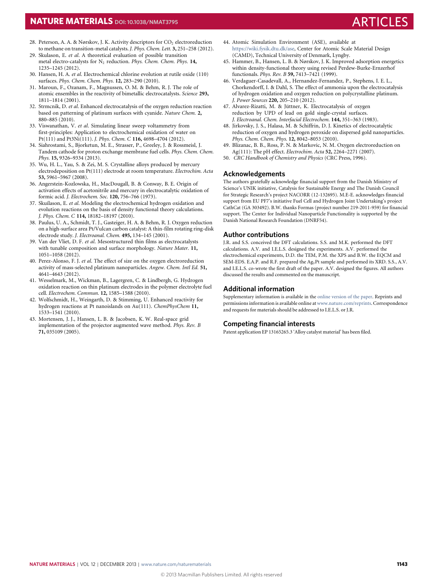# **NATURE MATERIALS** DOI: [10.1038/NMAT3795](http://www.nature.com/doifinder/10.1038/nmat3795)

- <span id="page-6-4"></span>28. Peterson, A. A. & Nørskov, J. K. Activity descriptors for  $CO<sub>2</sub>$  electroreduction to methane on transition-metal catalysts. *J. Phys. Chem. Lett.* **3,** 251–258 (2012).
- <span id="page-6-5"></span>29. Skulason, E. *et al*. A theoretical evaluation of possible transition metal electro-catalysts for N<sup>2</sup> reduction. *Phys. Chem. Chem. Phys.* **14,** 1235–1245 (2012).
- <span id="page-6-6"></span>30. Hansen, H. A. *et al*. Electrochemical chlorine evolution at rutile oxide (110) surfaces. *Phys. Chem. Chem. Phys.* **12,** 283–290 (2010).
- <span id="page-6-7"></span>31. Maroun, F., Ozanam, F., Magnussen, O. M. & Behm, R. J. The role of atomic ensembles in the reactivity of bimetallic electrocatalysts. *Science* **293,** 1811–1814 (2001).
- <span id="page-6-8"></span>32. Strmcnik, D. *et al*. Enhanced electrocatalysis of the oxygen reduction reaction based on patterning of platinum surfaces with cyanide. *Nature Chem.* **2,** 880–885 (2010).
- <span id="page-6-9"></span>33. Viswanathan, V. *et al*. Simulating linear sweep voltammetry from first-principles: Application to electrochemical oxidation of water on Pt(111) and Pt3Ni(111). *J. Phys. Chem. C* **116,** 4698–4704 (2012).
- <span id="page-6-10"></span>34. Siahrostami, S., Bjorketun, M. E., Strasser, P., Greeley, J. & Rossmeisl, J. Tandem cathode for proton exchange membrane fuel cells. *Phys. Chem. Chem. Phys.* **15,** 9326–9334 (2013).
- <span id="page-6-11"></span>35. Wu, H. L., Yau, S. & Zei, M. S. Crystalline alloys produced by mercury electrodeposition on Pt(111) electrode at room temperature. *Electrochim. Acta* **53,** 5961–5967 (2008).
- <span id="page-6-13"></span>36. Angerstein-Kozlowska, H., MacDougall, B. & Conway, B. E. Origin of activation effects of acetonitrile and mercury in electrocatalytic oxidation of formic acid. *J. Electrochem. Soc.* **120,** 756–766 (1973).
- <span id="page-6-14"></span>37. Skuílason, E. *et al*. Modeling the electrochemical hydrogen oxidation and evolution reactions on the basis of density functional theory calculations. *J. Phys. Chem. C* **114,** 18182–18197 (2010).
- <span id="page-6-15"></span>38. Paulus, U. A., Schmidt, T. J., Gasteiger, H. A. & Behm, R. J. Oxygen reduction on a high-surface area Pt/Vulcan carbon catalyst: A thin-film rotating ring-disk electrode study. *J. Electroanal. Chem.* **495,** 134–145 (2001).
- <span id="page-6-16"></span>39. Van der Vliet, D. F. *et al*. Mesostructured thin films as electrocatalysts with tunable composition and surface morphology. *Nature Mater.* **11,** 1051–1058 (2012).
- <span id="page-6-17"></span>40. Perez-Alonso, F. J. *et al*. The effect of size on the oxygen electroreduction activity of mass-selected platinum nanoparticles. *Angew. Chem. Intl Ed.* **51,** 4641–4643 (2012).
- <span id="page-6-18"></span>41. Wesselmark, M., Wickman, B., Lagergren, C. & Lindbergh, G. Hydrogen oxidation reaction on thin platinum electrodes in the polymer electrolyte fuel cell. *Electrochem. Commun.* **12,** 1585–1588 (2010).
- <span id="page-6-19"></span>42. Wolfschmidt, H., Weingarth, D. & Stimming, U. Enhanced reactivity for hydrogen reactions at Pt nanoislands on Au(111). *ChemPhysChem* **11,** 1533–1541 (2010).
- <span id="page-6-20"></span>43. Mortensen, J. J., Hansen, L. B. & Jacobsen, K. W. Real-space grid implementation of the projector augmented wave method. *Phys. Rev. B* **71,** 035109 (2005).
- <span id="page-6-21"></span>44. Atomic Simulation Environment (ASE), available at [https://wiki.fysik.dtu.dk/ase,](https://wiki.fysik.dtu.dk/ase) Center for Atomic Scale Material Design (CAMD), Technical University of Denmark, Lyngby.
- <span id="page-6-22"></span>45. Hammer, B., Hansen, L. B. & Nørskov, J. K. Improved adsorption energetics within density-functional theory using revised Perdew-Burke-Ernzerhof functionals. *Phys. Rev. B* **59,** 7413–7421 (1999).
- <span id="page-6-0"></span>46. Verdaguer-Casadevall, A., Hernandez-Fernandez, P., Stephens, I. E. L., Chorkendorff, I. & Dahl, S. The effect of ammonia upon the electrocatalysis of hydrogen oxidation and oxygen reduction on polycrystalline platinum. *J. Power Sources* **220,** 205–210 (2012).
- <span id="page-6-1"></span>47. Alvarez-Rizatti, M. & Jüttner, K. Electrocatalysis of oxygen reduction by UPD of lead on gold single-crystal surfaces. *J. Electroanal. Chem. Interfacial Electrochem.* **144,** 351–363 (1983).
- <span id="page-6-2"></span>48. Jirkovsky, J. S., Halasa, M. & Schiffrin, D. J. Kinetics of electrocatalytic reduction of oxygen and hydrogen peroxide on dispersed gold nanoparticles. *Phys. Chem. Chem. Phys.* **12,** 8042–8053 (2010).
- <span id="page-6-3"></span>49. Blizanac, B. B., Ross, P. N. & Markovic, N. M. Oxygen electroreduction on Ag(111): The pH effect. *Electrochim. Acta* **52,** 2264–2271 (2007).
- <span id="page-6-12"></span>50. *CRC Handbook of Chemistry and Physics* (CRC Press, 1996).

# **Acknowledgements**

The authors gratefully acknowledge financial support from the Danish Ministry of Science's UNIK initiative, Catalysis for Sustainable Energy and The Danish Council for Strategic Research's project NACORR (12-132695). M.E-E. acknowledges financial support from EU PF7's initiative Fuel Cell and Hydrogen Joint Undertaking's project CathCat (GA 303492). B.W. thanks Formas (project number 219-2011-959) for financial support. The Center for Individual Nanoparticle Functionality is supported by the Danish National Research Foundation (DNRF54).

# **Author contributions**

J.R. and S.S. conceived the DFT calculations. S.S. and M.K. performed the DFT calculations. A.V. and I.E.L.S. designed the experiments. A.V. performed the electrochemical experiments, D.D. the TEM, P.M. the XPS and B.W. the EQCM and SEM-EDS. E.A.P. and R.F. prepared the Ag<sub>3</sub>Pt sample and performed its XRD. S.S., A.V. and I.E.L.S. co-wrote the first draft of the paper. A.V. designed the figures. All authors discussed the results and commented on the manuscript.

## **Additional information**

Supplementary information is available in the [online version of the paper.](http://www.nature.com/doifinder/10.1038/nmat3795) Reprints and permissions information is available online a[twww.nature.com/reprints.](http://www.nature.com/reprints) Correspondence and requests for materials should be addressed to I.E.L.S. or J.R.

### **Competing financial interests**

Patent application EP 13165265.3 'Alloy catalyst material' has been filed.